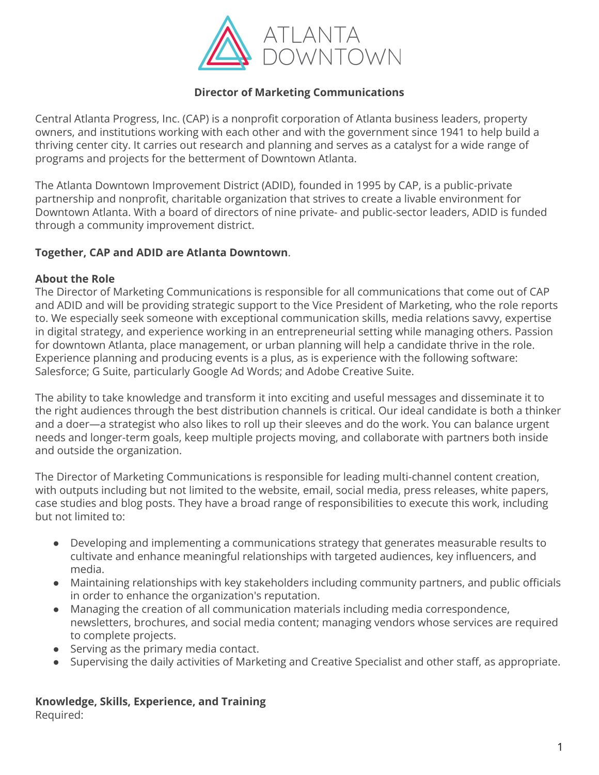

## **Director of Marketing Communications**

Central Atlanta Progress, Inc. (CAP) is a nonprofit corporation of Atlanta business leaders, property owners, and institutions working with each other and with the government since 1941 to help build a thriving center city. It carries out research and planning and serves as a catalyst for a wide range of programs and projects for the betterment of Downtown Atlanta.

The Atlanta Downtown Improvement District (ADID), founded in 1995 by CAP, is a public-private partnership and nonprofit, charitable organization that strives to create a livable environment for Downtown Atlanta. With a board of directors of nine private- and public-sector leaders, ADID is funded through a community improvement district.

#### **Together, CAP and ADID are Atlanta Downtown**.

#### **About the Role**

The Director of Marketing Communications is responsible for all communications that come out of CAP and ADID and will be providing strategic support to the Vice President of Marketing, who the role reports to. We especially seek someone with exceptional communication skills, media relations savvy, expertise in digital strategy, and experience working in an entrepreneurial setting while managing others. Passion for downtown Atlanta, place management, or urban planning will help a candidate thrive in the role. Experience planning and producing events is a plus, as is experience with the following software: Salesforce; G Suite, particularly Google Ad Words; and Adobe Creative Suite.

The ability to take knowledge and transform it into exciting and useful messages and disseminate it to the right audiences through the best distribution channels is critical. Our ideal candidate is both a thinker and a doer—a strategist who also likes to roll up their sleeves and do the work. You can balance urgent needs and longer-term goals, keep multiple projects moving, and collaborate with partners both inside and outside the organization.

The Director of Marketing Communications is responsible for leading multi-channel content creation, with outputs including but not limited to the website, email, social media, press releases, white papers, case studies and blog posts. They have a broad range of responsibilities to execute this work, including but not limited to:

- Developing and implementing a communications strategy that generates measurable results to cultivate and enhance meaningful relationships with targeted audiences, key influencers, and media.
- Maintaining relationships with key stakeholders including community partners, and public officials in order to enhance the organization's reputation.
- Managing the creation of all communication materials including media correspondence, newsletters, brochures, and social media content; managing vendors whose services are required to complete projects.
- Serving as the primary media contact.
- Supervising the daily activities of Marketing and Creative Specialist and other staff, as appropriate.

#### **Knowledge, Skills, Experience, and Training** Required: